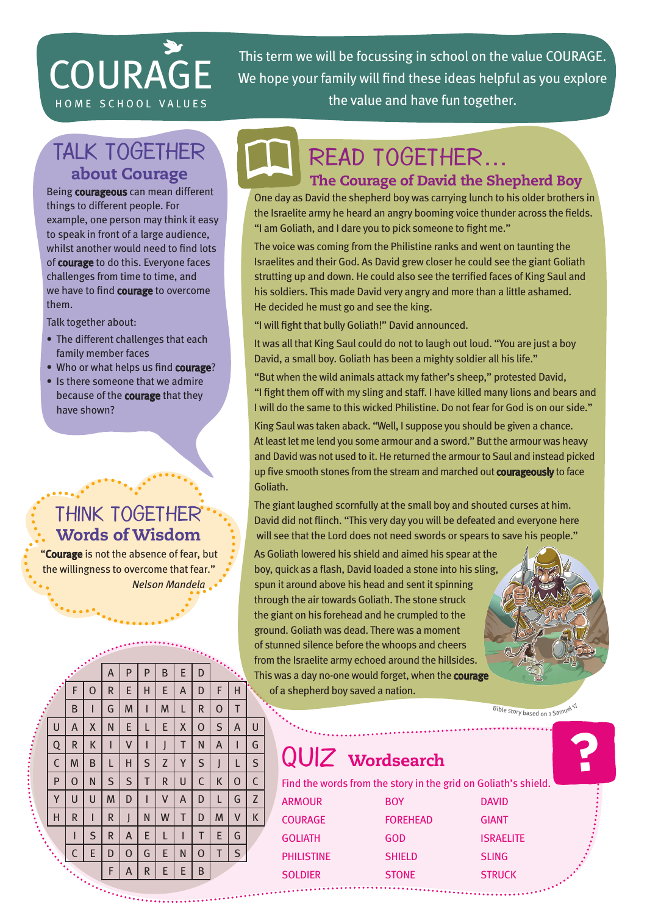# **COURAGE**

This term we will be focussing in school on the value COURAGE. We hope your family will find these ideas helpful as you explore HOME SCHOOL VALUES **EXECUTE:** the value and have fun together.

# Talk together about Courage

Being courageous can mean different things to different people. For example, one person may think it easy to speak in front of a large audience, whilst another would need to find lots of courage to do this. Everyone faces challenges from time to time, and we have to find courage to overcome them.

Talk together about:

- The different challenges that each family member faces
- Who or what helps us find courage?
- Is there someone that we admire because of the courage that they have shown?

## Think together Words of Wisdom

"Courage is not the absence of fear, but the willingness to overcome that fear." *Nelson Mandela*



#### The Courage of David the Shepherd Boy

One day as David the shepherd boy was carrying lunch to his older brothers in the Israelite army he heard an angry booming voice thunder across the fields. "I am Goliath, and I dare you to pick someone to fight me."

The voice was coming from the Philistine ranks and went on taunting the Israelites and their God. As David grew closer he could see the giant Goliath strutting up and down. He could also see the terrified faces of King Saul and his soldiers. This made David very angry and more than a little ashamed. He decided he must go and see the king.

"I will fight that bully Goliath!" David announced.

It was all that King Saul could do not to laugh out loud. "You are just a boy David, a small boy. Goliath has been a mighty soldier all his life."

"But when the wild animals attack my father's sheep," protested David, "I fight them off with my sling and staff. I have killed many lions and bears and I will do the same to this wicked Philistine. Do not fear for God is on our side."

King Saul was taken aback. "Well, I suppose you should be given a chance. At least let me lend you some armour and a sword." But the armour was heavy and David was not used to it. He returned the armour to Saul and instead picked up five smooth stones from the stream and marched out **courageously** to face Goliath.

The giant laughed scornfully at the small boy and shouted curses at him. David did not flinch. "This very day you will be defeated and everyone here will see that the Lord does not need swords or spears to save his people."

As Goliath lowered his shield and aimed his spear at the boy, quick as a flash, David loaded a stone into his sling, spun it around above his head and sent it spinning through the air towards Goliath. The stone struck the giant on his forehead and he crumpled to the ground. Goliath was dead. There was a moment of stunned silence before the whoops and cheers from the Israelite army echoed around the hillsides. This was a day no-one would forget, when the courage of a shepherd boy saved a nation.

Bible story based on 1 Samuel 17

# QUIZ wordsearch

Find the words from the story in the grid on Goliath's shield.

| <b>BOY</b>      | <b>DAVID</b>     |
|-----------------|------------------|
| <b>FOREHEAD</b> | <b>GIANT</b>     |
| GOD             | <b>ISRAELITE</b> |
| <b>SHIELD</b>   | <b>SLING</b>     |
| <b>STONE</b>    | <b>STRUCK</b>    |
|                 |                  |

A P P B E D F | O | R | E | H | E | A | D | F | H B | I | G | M | I | M | L | R | O | T U | A | X | N | E | L | E | X | O | S | A | U Q | R | K | I | V | I | J | T | N | A | I | G C | M | B | L | H | S | Z | Y | S | J | L | S P | O | N | S | S | T | R | U | C | K | O | C Y | U | U | M | D | I | V | A | D | L | G | Z H | R | I | R | J | N | W | T | D | M | V | K I | S | R | A | E | L | I | T | E | G  $C | E | D | O | G | E | N | O | T | S$  $F | A | R | E | E | B$